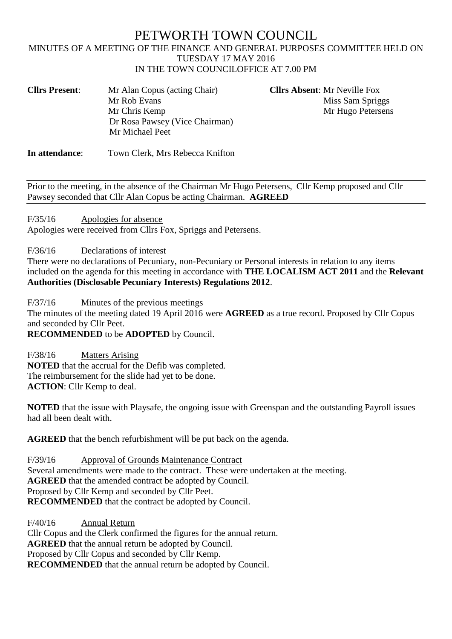# PETWORTH TOWN COUNCIL

### MINUTES OF A MEETING OF THE FINANCE AND GENERAL PURPOSES COMMITTEE HELD ON TUESDAY 17 MAY 2016 IN THE TOWN COUNCILOFFICE AT 7.00 PM

| <b>Cllrs Present:</b> | Mr Alan Copus (acting Chair)   |
|-----------------------|--------------------------------|
|                       | Mr Rob Evans                   |
|                       | Mr Chris Kemp                  |
|                       | Dr Rosa Pawsey (Vice Chairman) |
|                       | Mr Michael Peet                |
|                       |                                |

**Cllrs Absent: Mr Neville Fox** Miss Sam Spriggs Mr Hugo Petersens

**In attendance**: Town Clerk, Mrs Rebecca Knifton

Prior to the meeting, in the absence of the Chairman Mr Hugo Petersens, Cllr Kemp proposed and Cllr Pawsey seconded that Cllr Alan Copus be acting Chairman. **AGREED**

F/35/16 Apologies for absence

Apologies were received from Cllrs Fox, Spriggs and Petersens.

F/36/16 Declarations of interest

There were no declarations of Pecuniary, non-Pecuniary or Personal interests in relation to any items included on the agenda for this meeting in accordance with **THE LOCALISM ACT 2011** and the **Relevant Authorities (Disclosable Pecuniary Interests) Regulations 2012**.

F/37/16 Minutes of the previous meetings

The minutes of the meeting dated 19 April 2016 were **AGREED** as a true record. Proposed by Cllr Copus and seconded by Cllr Peet.

**RECOMMENDED** to be **ADOPTED** by Council.

F/38/16 Matters Arising **NOTED** that the accrual for the Defib was completed. The reimbursement for the slide had yet to be done. **ACTION**: Cllr Kemp to deal.

**NOTED** that the issue with Playsafe, the ongoing issue with Greenspan and the outstanding Payroll issues had all been dealt with.

**AGREED** that the bench refurbishment will be put back on the agenda.

F/39/16 Approval of Grounds Maintenance Contract Several amendments were made to the contract. These were undertaken at the meeting. **AGREED** that the amended contract be adopted by Council. Proposed by Cllr Kemp and seconded by Cllr Peet. **RECOMMENDED** that the contract be adopted by Council.

F/40/16 Annual Return Cllr Copus and the Clerk confirmed the figures for the annual return. **AGREED** that the annual return be adopted by Council. Proposed by Cllr Copus and seconded by Cllr Kemp. **RECOMMENDED** that the annual return be adopted by Council.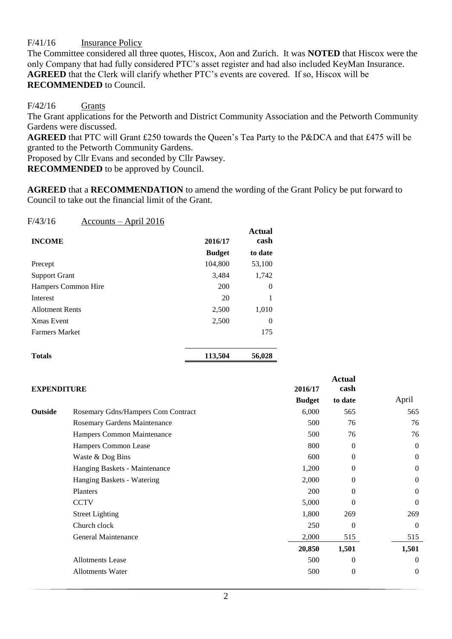F/41/16 Insurance Policy

The Committee considered all three quotes, Hiscox, Aon and Zurich. It was **NOTED** that Hiscox were the only Company that had fully considered PTC's asset register and had also included KeyMan Insurance. **AGREED** that the Clerk will clarify whether PTC's events are covered. If so, Hiscox will be **RECOMMENDED** to Council.

### $F/42/16$  Grants

The Grant applications for the Petworth and District Community Association and the Petworth Community Gardens were discussed.

**AGREED** that PTC will Grant £250 towards the Queen's Tea Party to the P&DCA and that £475 will be granted to the Petworth Community Gardens.

Proposed by Cllr Evans and seconded by Cllr Pawsey.

**RECOMMENDED** to be approved by Council.

**AGREED** that a **RECOMMENDATION** to amend the wording of the Grant Policy be put forward to Council to take out the financial limit of the Grant.

| F/43/16                | <u> Accounts – April 2016</u> |               |                |
|------------------------|-------------------------------|---------------|----------------|
| <b>INCOME</b>          |                               | 2016/17       | Actual<br>cash |
|                        |                               | <b>Budget</b> | to date        |
| Precept                |                               | 104,800       | 53,100         |
| <b>Support Grant</b>   |                               | 3,484         | 1,742          |
|                        | <b>Hampers Common Hire</b>    | 200           | $\Omega$       |
| Interest               |                               | 20            | 1              |
| <b>Allotment Rents</b> |                               | 2,500         | 1,010          |
| <b>Xmas Event</b>      |                               | 2,500         | $\theta$       |
| <b>Farmers Market</b>  |                               |               | 175            |
|                        |                               |               |                |

| <b>Totals</b> | 113,504 | 56,028 |
|---------------|---------|--------|
|               |         |        |

| <b>EXPENDITURE</b> |                                    | 2016/17       | <b>Actual</b><br>cash |                |
|--------------------|------------------------------------|---------------|-----------------------|----------------|
|                    |                                    | <b>Budget</b> | to date               | April          |
| Outside            | Rosemary Gdns/Hampers Com Contract | 6,000         | 565                   | 565            |
|                    | Rosemary Gardens Maintenance       | 500           | 76                    | 76             |
|                    | Hampers Common Maintenance         | 500           | 76                    | 76             |
|                    | Hampers Common Lease               | 800           | $\mathbf{0}$          | $\theta$       |
|                    | Waste & Dog Bins                   | 600           | $\Omega$              | $\theta$       |
|                    | Hanging Baskets - Maintenance      | 1,200         | $\Omega$              | $\theta$       |
|                    | Hanging Baskets - Watering         | 2,000         | $\Omega$              | $\overline{0}$ |
|                    | Planters                           | 200           | $\Omega$              | $\overline{0}$ |
|                    | <b>CCTV</b>                        | 5,000         | $\Omega$              | $\Omega$       |
|                    | <b>Street Lighting</b>             | 1,800         | 269                   | 269            |
|                    | Church clock                       | 250           | $\Omega$              | $\theta$       |
|                    | General Maintenance                | 2,000         | 515                   | 515            |
|                    |                                    | 20,850        | 1,501                 | 1,501          |
|                    | <b>Allotments</b> Lease            | 500           | $\Omega$              | $\Omega$       |
|                    | <b>Allotments Water</b>            | 500           | $\boldsymbol{0}$      | $\Omega$       |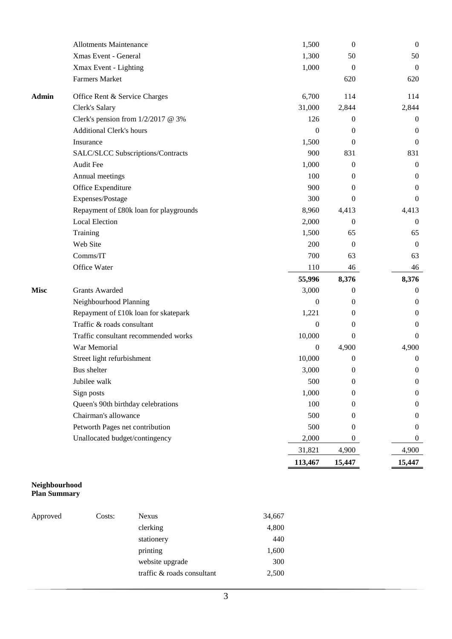|              |                                        | 113,467          | 15,447           | 15,447           |  |
|--------------|----------------------------------------|------------------|------------------|------------------|--|
|              |                                        | 31,821           | 4,900            | 4,900            |  |
|              | Unallocated budget/contingency         | 2,000            | $\overline{0}$   | $\boldsymbol{0}$ |  |
|              | Petworth Pages net contribution        | 500              | $\theta$         | $\overline{0}$   |  |
|              | Chairman's allowance                   | 500              | $\theta$         | $\overline{0}$   |  |
|              | Queen's 90th birthday celebrations     | 100              | $\theta$         | 0                |  |
|              | Sign posts                             | 1,000            | $\boldsymbol{0}$ | $\boldsymbol{0}$ |  |
|              | Jubilee walk                           | 500              | $\bf{0}$         | $\mathbf{0}$     |  |
|              | <b>Bus</b> shelter                     | 3,000            | 0                | 0                |  |
|              | Street light refurbishment             | 10,000           | 0                | 0                |  |
|              | War Memorial                           | $\boldsymbol{0}$ | 4,900            | 4,900            |  |
|              | Traffic consultant recommended works   | 10,000           | $\overline{0}$   | 0                |  |
|              | Traffic & roads consultant             | $\mathbf{0}$     | $\theta$         | 0                |  |
|              | Repayment of £10k loan for skatepark   | 1,221            | 0                | 0                |  |
|              | Neighbourhood Planning                 | $\boldsymbol{0}$ | 0                | $\overline{0}$   |  |
| <b>Misc</b>  | <b>Grants Awarded</b>                  | 3,000            | 0                | 0                |  |
|              |                                        | 55,996           | 8,376            | 8,376            |  |
|              | Office Water                           | 110              | 46               | 46               |  |
|              | Comms/IT                               | 700              | 63               | 63               |  |
|              | Web Site                               | 200              | $\mathbf{0}$     | $\overline{0}$   |  |
|              | Training                               | 1,500            | 65               | 65               |  |
|              | <b>Local Election</b>                  | 2,000            | 0                | 0                |  |
|              | Repayment of £80k loan for playgrounds | 8,960            | 4,413            | 4,413            |  |
|              | Expenses/Postage                       | 300              | $\theta$         | 0                |  |
|              | Office Expenditure                     | 900              | $\theta$         | 0                |  |
|              | Annual meetings                        | 100              | 0                | 0                |  |
|              | Audit Fee                              | 1,000            | $\boldsymbol{0}$ | $\overline{0}$   |  |
|              | SALC/SLCC Subscriptions/Contracts      | 900              | 831              | 831              |  |
|              | Insurance                              | 1,500            | $\theta$         | $\theta$         |  |
|              | <b>Additional Clerk's hours</b>        | $\boldsymbol{0}$ | $\mathbf{0}$     | 0                |  |
|              | Clerk's pension from $1/2/2017$ @ 3%   | 126              | 0                | 0                |  |
|              | Clerk's Salary                         | 31,000           | 2,844            | 2,844            |  |
| <b>Admin</b> | Office Rent & Service Charges          | 6,700            | 114              | 114              |  |
|              | <b>Farmers Market</b>                  |                  | 620              | 620              |  |
|              | Xmax Event - Lighting                  | 1,000            | $\boldsymbol{0}$ | $\overline{0}$   |  |
|              | Xmas Event - General                   | 1,300            | 50               | 50               |  |
|              | <b>Allotments Maintenance</b>          | 1,500            | $\boldsymbol{0}$ | $\boldsymbol{0}$ |  |

#### **Neighbourhood Plan Summary**

| Approved | Costs: | <b>Nexus</b>               | 34,667 |
|----------|--------|----------------------------|--------|
|          |        | clerking                   | 4,800  |
|          |        | stationery                 | 440    |
|          |        | printing                   | 1,600  |
|          |        | website upgrade            | 300    |
|          |        | traffic & roads consultant | 2,500  |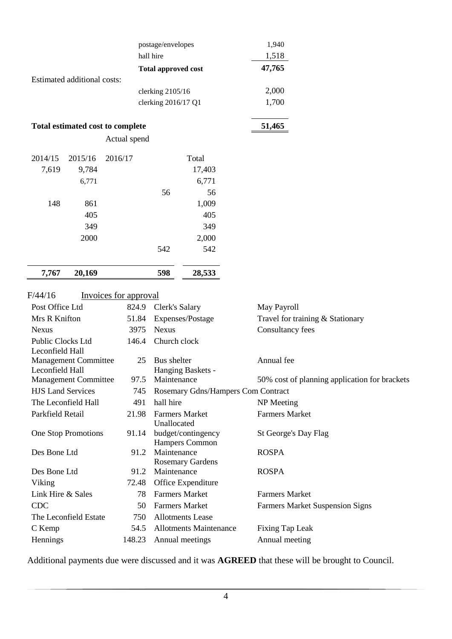|                          |                             |                                  | postage/envelopes<br>hall hire |                                    | 1,940<br>1,518        |                                               |
|--------------------------|-----------------------------|----------------------------------|--------------------------------|------------------------------------|-----------------------|-----------------------------------------------|
|                          |                             |                                  | <b>Total approved cost</b>     |                                    | 47,765                |                                               |
|                          | Estimated additional costs: |                                  |                                |                                    |                       |                                               |
|                          |                             |                                  | clerking 2105/16               |                                    | 2,000<br>1,700        |                                               |
|                          |                             |                                  | clerking 2016/17 Q1            |                                    |                       |                                               |
|                          |                             | Total estimated cost to complete |                                |                                    | 51,465                |                                               |
|                          |                             | Actual spend                     |                                |                                    |                       |                                               |
| 2014/15                  | 2015/16                     | 2016/17                          |                                | Total                              |                       |                                               |
| 7,619                    | 9,784                       |                                  |                                | 17,403                             |                       |                                               |
|                          | 6,771                       |                                  |                                | 6,771                              |                       |                                               |
|                          |                             |                                  | 56                             | 56                                 |                       |                                               |
| 148                      | 861                         |                                  |                                | 1,009                              |                       |                                               |
|                          | 405                         |                                  |                                | 405                                |                       |                                               |
|                          | 349                         |                                  |                                | 349                                |                       |                                               |
|                          | 2000                        |                                  |                                | 2,000                              |                       |                                               |
|                          |                             |                                  | 542                            | 542                                |                       |                                               |
| 7,767                    | 20,169                      |                                  | 598                            | 28,533                             |                       |                                               |
| F/44/16                  |                             |                                  |                                |                                    |                       |                                               |
| Post Office Ltd          |                             | Invoices for approval<br>824.9   |                                |                                    |                       |                                               |
| Mrs R Knifton            |                             |                                  | Clerk's Salary                 |                                    | May Payroll           |                                               |
| <b>Nexus</b>             |                             | 51.84<br>3975                    | <b>Nexus</b>                   | Expenses/Postage                   |                       | Travel for training & Stationary              |
| Public Clocks Ltd        |                             | 146.4                            | Church clock                   |                                    | Consultancy fees      |                                               |
| Leconfield Hall          |                             |                                  |                                |                                    |                       |                                               |
|                          | <b>Management Committee</b> |                                  | Bus shelter<br>25              |                                    | Annual fee            |                                               |
| Leconfield Hall          |                             |                                  |                                | Hanging Baskets -                  |                       |                                               |
|                          | <b>Management Committee</b> | 97.5                             | Maintenance                    |                                    |                       | 50% cost of planning application for brackets |
| <b>HJS Land Services</b> |                             | 745                              |                                | Rosemary Gdns/Hampers Com Contract |                       |                                               |
|                          | The Leconfield Hall         | 491                              | hall hire                      |                                    | NP Meeting            |                                               |
| Parkfield Retail         |                             | 21.98                            |                                | <b>Farmers Market</b>              | <b>Farmers Market</b> |                                               |
|                          | One Stop Promotions         | 91.14                            | Unallocated                    | budget/contingency                 | St George's Day Flag  |                                               |
|                          |                             |                                  |                                | Hampers Common                     |                       |                                               |
| Des Bone Ltd             |                             | 91.2                             | Maintenance                    |                                    | <b>ROSPA</b>          |                                               |
|                          |                             |                                  |                                | <b>Rosemary Gardens</b>            |                       |                                               |
| Des Bone Ltd             |                             | 91.2                             | Maintenance                    |                                    | <b>ROSPA</b>          |                                               |
| Viking                   |                             | 72.48                            |                                | Office Expenditure                 |                       |                                               |
| Link Hire & Sales        |                             |                                  | 78                             | <b>Farmers Market</b>              | <b>Farmers Market</b> |                                               |
| <b>CDC</b>               |                             |                                  | 50                             | <b>Farmers Market</b>              |                       | <b>Farmers Market Suspension Signs</b>        |
|                          | The Leconfield Estate       | 750                              |                                | <b>Allotments Lease</b>            |                       |                                               |
| C Kemp                   |                             | 54.5                             |                                | <b>Allotments Maintenance</b>      | Fixing Tap Leak       |                                               |
| Hennings                 |                             | 148.23                           |                                | Annual meetings                    | Annual meeting        |                                               |

Additional payments due were discussed and it was **AGREED** that these will be brought to Council.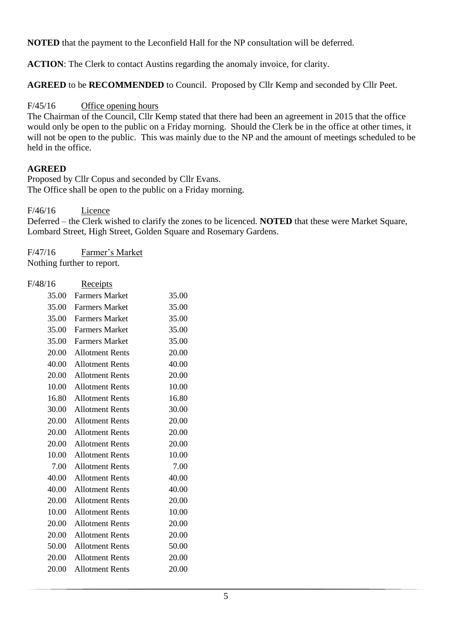**NOTED** that the payment to the Leconfield Hall for the NP consultation will be deferred.

**ACTION**: The Clerk to contact Austins regarding the anomaly invoice, for clarity.

**AGREED** to be **RECOMMENDED** to Council. Proposed by Cllr Kemp and seconded by Cllr Peet.

## F/45/16 Office opening hours

The Chairman of the Council, Cllr Kemp stated that there had been an agreement in 2015 that the office would only be open to the public on a Friday morning. Should the Clerk be in the office at other times, it will not be open to the public. This was mainly due to the NP and the amount of meetings scheduled to be held in the office.

## **AGREED**

Proposed by Cllr Copus and seconded by Cllr Evans. The Office shall be open to the public on a Friday morning.

F/46/16 Licence

Deferred – the Clerk wished to clarify the zones to be licenced. **NOTED** that these were Market Square, Lombard Street, High Street, Golden Square and Rosemary Gardens.

F/47/16 Farmer's Market Nothing further to report.

| F/48/16 | <u>Receipts</u>        |       |
|---------|------------------------|-------|
| 35.00   | <b>Farmers Market</b>  | 35.00 |
| 35.00   | <b>Farmers Market</b>  | 35.00 |
| 35.00   | <b>Farmers Market</b>  | 35.00 |
| 35.00   | <b>Farmers Market</b>  | 35.00 |
| 35.00   | <b>Farmers Market</b>  | 35.00 |
| 20.00   | <b>Allotment Rents</b> | 20.00 |
| 40.00   | <b>Allotment Rents</b> | 40.00 |
| 20.00   | <b>Allotment Rents</b> | 20.00 |
| 10.00   | <b>Allotment Rents</b> | 10.00 |
| 16.80   | <b>Allotment Rents</b> | 16.80 |
| 30.00   | <b>Allotment Rents</b> | 30.00 |
| 20.00   | <b>Allotment Rents</b> | 20.00 |
| 20.00   | <b>Allotment Rents</b> | 20.00 |
| 20.00   | <b>Allotment Rents</b> | 20.00 |
| 10.00   | <b>Allotment Rents</b> | 10.00 |
| 7.00    | <b>Allotment Rents</b> | 7.00  |
| 40.00   | <b>Allotment Rents</b> | 40.00 |
| 40.00   | <b>Allotment Rents</b> | 40.00 |
| 20.00   | <b>Allotment Rents</b> | 20.00 |
| 10.00   | <b>Allotment Rents</b> | 10.00 |
| 20.00   | <b>Allotment Rents</b> | 20.00 |
| 20.00   | <b>Allotment Rents</b> | 20.00 |
| 50.00   | <b>Allotment Rents</b> | 50.00 |
| 20.00   | <b>Allotment Rents</b> | 20.00 |
| 20.00   | <b>Allotment Rents</b> | 20.00 |
|         |                        |       |